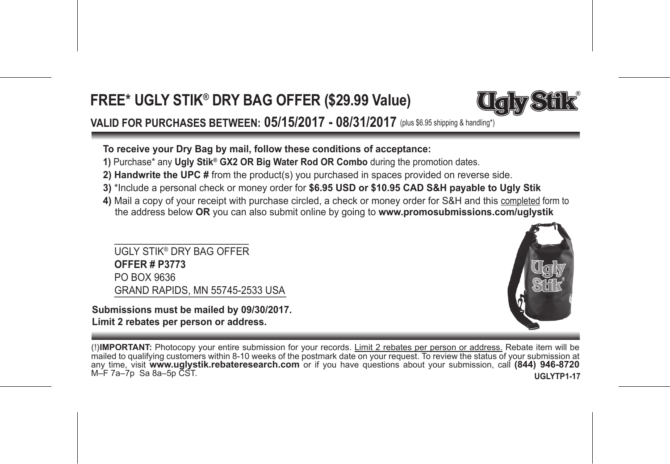## **FREE\* UGLY STIK® DRY BAG OFFER (\$29.99 Value)**



**VALID FOR PURCHASES BETWEEN: 05/15/2017 - 08/31/2017** (plus \$6.95 shipping & handling\*)

**To receive your Dry Bag by mail, follow these conditions of acceptance:**

**1)** Purchase\* any **Ugly Stik® GX2 OR Big Water Rod OR Combo** during the promotion dates.

- **2) Handwrite the UPC #** from the product(s) you purchased in spaces provided on reverse side.
- **3)** \*Include a personal check or money order for **\$6.95 USD or \$10.95 CAD S&H payable to Ugly Stik**
- **4)** Mail a copy of your receipt with purchase circled, a check or money order for S&H and this completed form to the address below **OR** you can also submit online by going to **www.promosubmissions.com/uglystik**

UGLY STIK® DRY BAG OFFER **OFFER # P3773** PO BOX 9636 GRAND RAPIDS, MN 55745-2533 USA

 $\mathcal{L}_\text{max}$  and  $\mathcal{L}_\text{max}$  and  $\mathcal{L}_\text{max}$  and  $\mathcal{L}_\text{max}$ 

**Submissions must be mailed by 09/30/2017. Limit 2 rebates per person or address.**



**UGLYTP1-17 (!)IMPORTANT:** Photocopy your entire submission for your records. Limit 2 rebates per person or address. Rebate item will be mailed to qualifying customers within 8-10 weeks of the postmark date on your request. To review the status of your submission at any time, visit **www.uglystik.rebateresearch.com** or if you have questions about your submission, call **(844) 946-8720** M–F 7a–7p Sa 8a–5p CST.